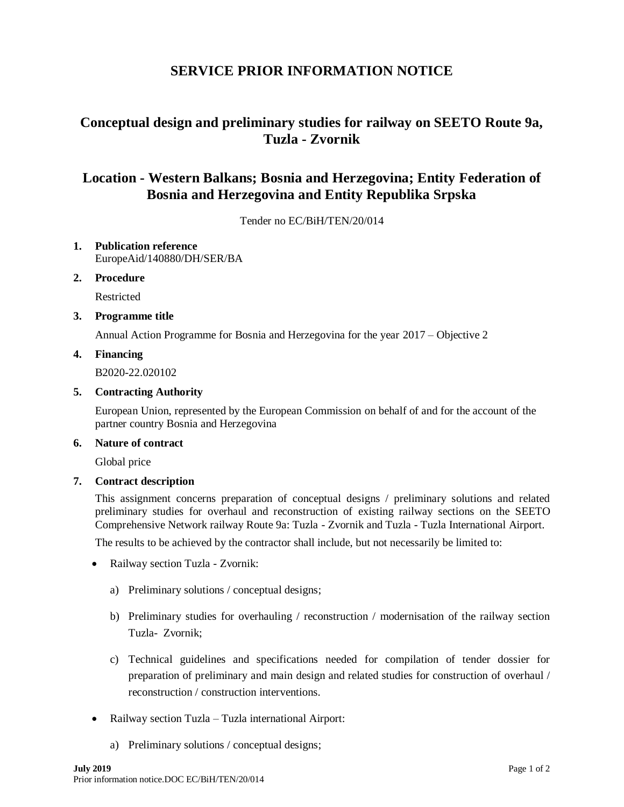# **SERVICE PRIOR INFORMATION NOTICE**

# **Conceptual design and preliminary studies for railway on SEETO Route 9a, Tuzla - Zvornik**

# **Location - Western Balkans; Bosnia and Herzegovina; Entity Federation of Bosnia and Herzegovina and Entity Republika Srpska**

Tender no EC/BiH/TEN/20/014

- **1. Publication reference** EuropeAid/140880/DH/SER/BA
- **2. Procedure**

Restricted

**3. Programme title**

Annual Action Programme for Bosnia and Herzegovina for the year 2017 – Objective 2

### **4. Financing**

B2020-22.020102

#### **5. Contracting Authority**

European Union, represented by the European Commission on behalf of and for the account of the partner country Bosnia and Herzegovina

### **6. Nature of contract**

Global price

#### **7. Contract description**

This assignment concerns preparation of conceptual designs / preliminary solutions and related preliminary studies for overhaul and reconstruction of existing railway sections on the SEETO Comprehensive Network railway Route 9a: Tuzla - Zvornik and Tuzla - Tuzla International Airport.

The results to be achieved by the contractor shall include, but not necessarily be limited to:

- Railway section Tuzla Zvornik:
	- a) Preliminary solutions / conceptual designs;
	- b) Preliminary studies for overhauling / reconstruction / modernisation of the railway section Tuzla- Zvornik;
	- c) Technical guidelines and specifications needed for compilation of tender dossier for preparation of preliminary and main design and related studies for construction of overhaul / reconstruction / construction interventions.
- Railway section Tuzla Tuzla international Airport:
	- a) Preliminary solutions / conceptual designs;